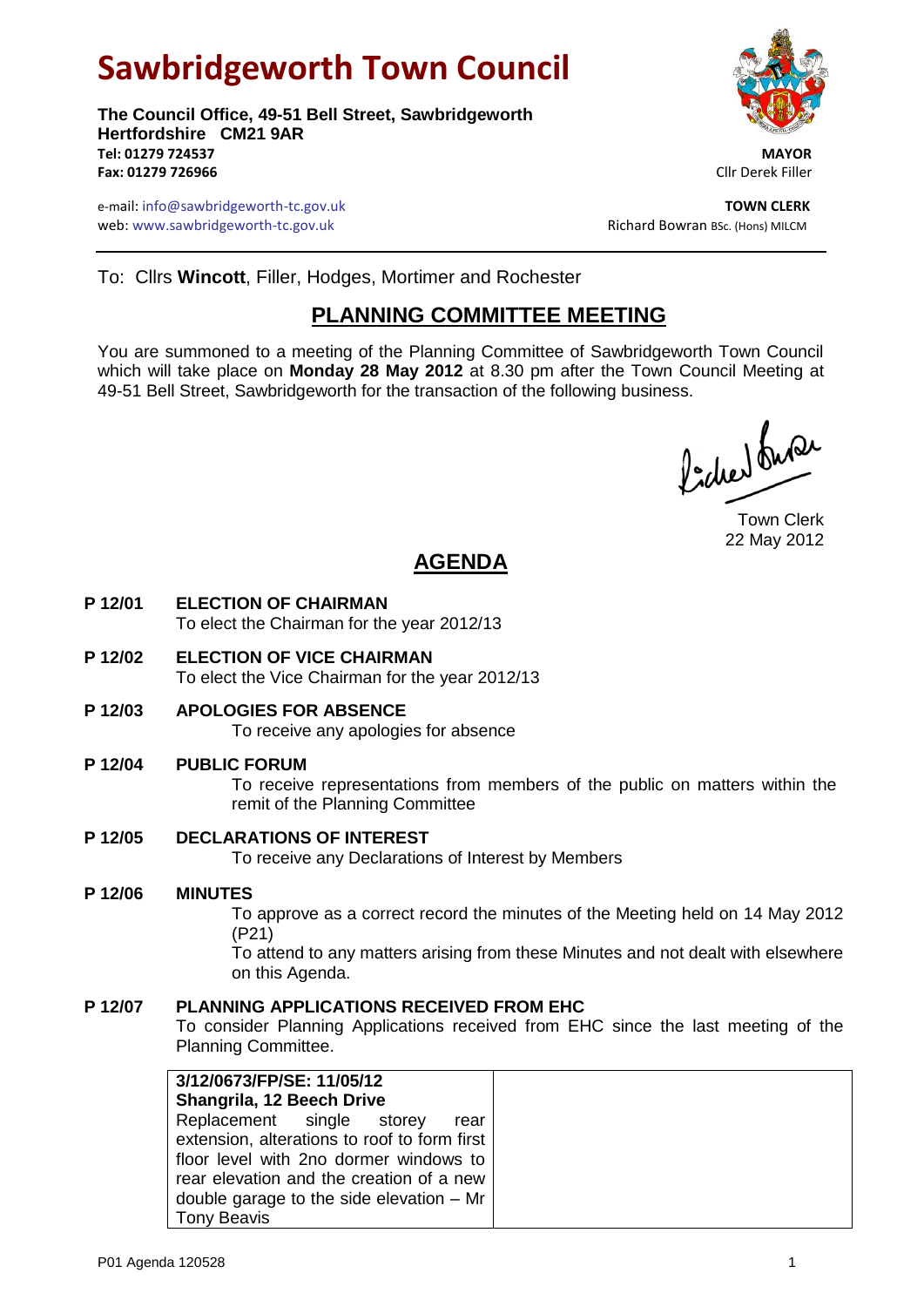# **Sawbridgeworth Town Council**

**The Council Office, 49-51 Bell Street, Sawbridgeworth Hertfordshire CM21 9AR Tel: 01279 724537 MAYOR Fax: 01279 726966** Cllr Derek Filler



e-mail: info@sawbridgeworth-tc.gov.uk **TOWN CLERK** web: www.sawbridgeworth-tc.gov.uk **Bookstand Bowran BSC. (Hons) MILCM** Richard Bowran BSc. (Hons) MILCM

To: Cllrs **Wincott**, Filler, Hodges, Mortimer and Rochester

# **PLANNING COMMITTEE MEETING**

You are summoned to a meeting of the Planning Committee of Sawbridgeworth Town Council which will take place on **Monday 28 May 2012** at 8.30 pm after the Town Council Meeting at 49-51 Bell Street, Sawbridgeworth for the transaction of the following business.

fidee buse

Town Clerk 22 May 2012

## **AGENDA**

- **P 12/01 ELECTION OF CHAIRMAN** To elect the Chairman for the year 2012/13
- **P 12/02 ELECTION OF VICE CHAIRMAN** To elect the Vice Chairman for the year 2012/13
- **P 12/03 APOLOGIES FOR ABSENCE**

To receive any apologies for absence

#### **P 12/04 PUBLIC FORUM**

To receive representations from members of the public on matters within the remit of the Planning Committee

#### **P 12/05 DECLARATIONS OF INTEREST**

To receive any Declarations of Interest by Members

#### **P 12/06 MINUTES**

To approve as a correct record the minutes of the Meeting held on 14 May 2012 (P21)

To attend to any matters arising from these Minutes and not dealt with elsewhere on this Agenda.

#### **P 12/07 PLANNING APPLICATIONS RECEIVED FROM EHC**

To consider Planning Applications received from EHC since the last meeting of the Planning Committee.

| 3/12/0673/FP/SE: 11/05/12                    |  |  |  |
|----------------------------------------------|--|--|--|
| Shangrila, 12 Beech Drive                    |  |  |  |
| Replacement single storey rear               |  |  |  |
| extension, alterations to roof to form first |  |  |  |
| floor level with 2no dormer windows to       |  |  |  |
| rear elevation and the creation of a new     |  |  |  |
| double garage to the side elevation $-$ Mr   |  |  |  |
| <b>Tony Beavis</b>                           |  |  |  |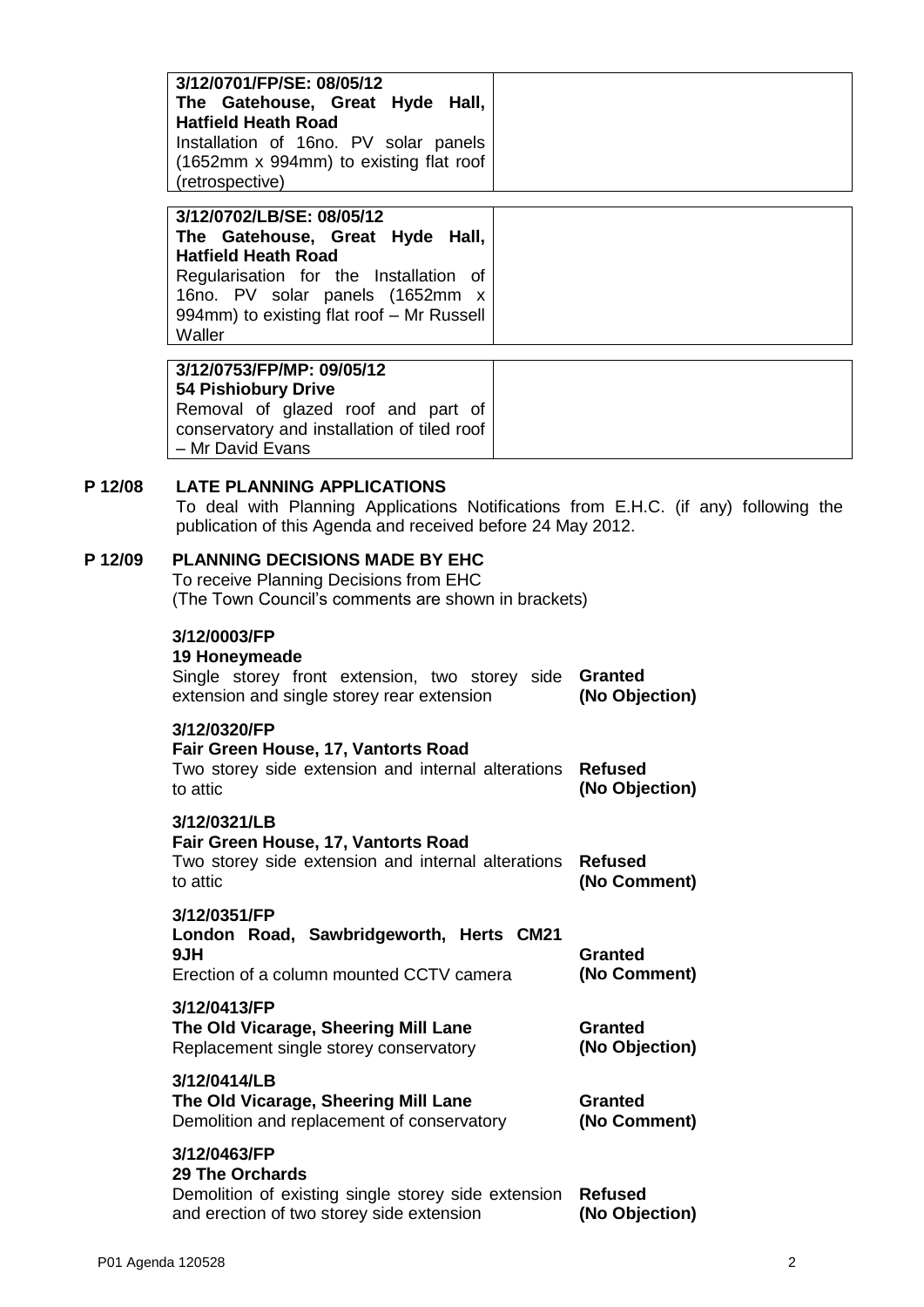|         | 3/12/0701/FP/SE: 08/05/12<br>The Gatehouse, Great Hyde Hall,<br><b>Hatfield Heath Road</b><br>Installation of 16no. PV solar panels<br>(1652mm x 994mm) to existing flat roof<br>(retrospective)                               |  |                                  |
|---------|--------------------------------------------------------------------------------------------------------------------------------------------------------------------------------------------------------------------------------|--|----------------------------------|
|         | 3/12/0702/LB/SE: 08/05/12<br>The Gatehouse, Great Hyde Hall,<br><b>Hatfield Heath Road</b><br>Regularisation for the Installation of<br>16no. PV solar panels (1652mm x<br>994mm) to existing flat roof - Mr Russell<br>Waller |  |                                  |
|         | 3/12/0753/FP/MP: 09/05/12<br><b>54 Pishiobury Drive</b><br>Removal of glazed roof and part of<br>conservatory and installation of tiled roof<br>- Mr David Evans                                                               |  |                                  |
| P 12/08 | <b>LATE PLANNING APPLICATIONS</b><br>To deal with Planning Applications Notifications from E.H.C. (if any) following the<br>publication of this Agenda and received before 24 May 2012.                                        |  |                                  |
| P 12/09 | <b>PLANNING DECISIONS MADE BY EHC</b><br>To receive Planning Decisions from EHC<br>(The Town Council's comments are shown in brackets)                                                                                         |  |                                  |
|         | 3/12/0003/FP<br>19 Honeymeade<br>Single storey front extension, two storey side Granted<br>extension and single storey rear extension<br>(No Objection)                                                                        |  |                                  |
|         | 3/12/0320/FP<br>Fair Green House, 17, Vantorts Road<br>Two storey side extension and internal alterations<br>to attic                                                                                                          |  | <b>Refused</b><br>(No Objection) |
|         | 3/12/0321/LB<br>Fair Green House, 17, Vantorts Road<br>Two storey side extension and internal alterations<br>to attic                                                                                                          |  | <b>Refused</b><br>(No Comment)   |
|         | 3/12/0351/FP<br>London Road, Sawbridgeworth, Herts CM21<br>9JH<br>Erection of a column mounted CCTV camera                                                                                                                     |  | <b>Granted</b><br>(No Comment)   |
|         | 3/12/0413/FP<br>The Old Vicarage, Sheering Mill Lane                                                                                                                                                                           |  | <b>Granted</b>                   |

| Replacement single storey conservatory | (No Objection) |  |
|----------------------------------------|----------------|--|
| 3/12/0414/LB                           |                |  |
| The Old Vicarage, Sheering Mill Lane   | Granted        |  |

| The Old Vicarage, Sheering Mill Lane       | Granted      |
|--------------------------------------------|--------------|
| Demolition and replacement of conservatory | (No Comment) |

### **3/12/0463/FP**

| 29 The Orchards                                             |                |
|-------------------------------------------------------------|----------------|
| Demolition of existing single storey side extension Refused |                |
| and erection of two storey side extension                   | (No Objection) |